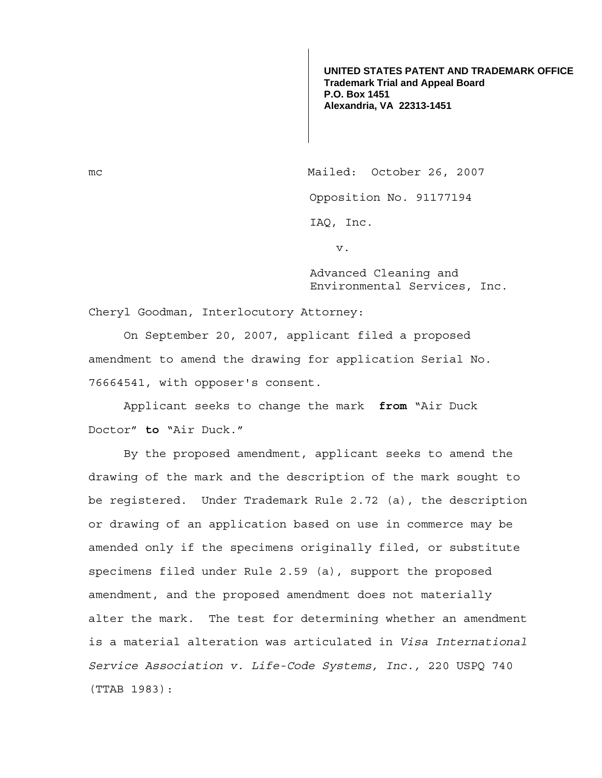**UNITED STATES PATENT AND TRADEMARK OFFICE Trademark Trial and Appeal Board P.O. Box 1451 Alexandria, VA 22313-1451**

mc Mailed: October 26, 2007 Opposition No. 91177194

IAQ, Inc.

v.

Advanced Cleaning and Environmental Services, Inc.

Cheryl Goodman, Interlocutory Attorney:

 On September 20, 2007, applicant filed a proposed amendment to amend the drawing for application Serial No. 76664541, with opposer's consent.

 Applicant seeks to change the mark **from** "Air Duck Doctor" **to** "Air Duck."

 By the proposed amendment, applicant seeks to amend the drawing of the mark and the description of the mark sought to be registered. Under Trademark Rule 2.72 (a), the description or drawing of an application based on use in commerce may be amended only if the specimens originally filed, or substitute specimens filed under Rule 2.59 (a), support the proposed amendment, and the proposed amendment does not materially alter the mark. The test for determining whether an amendment is a material alteration was articulated in *Visa International Service Association v. Life-Code Systems, Inc.,* 220 USPQ 740 (TTAB 1983):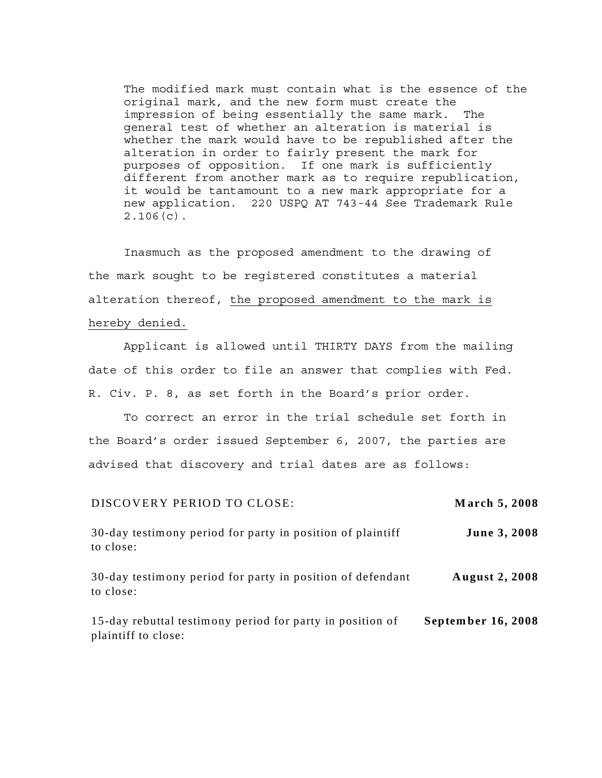The modified mark must contain what is the essence of the original mark, and the new form must create the impression of being essentially the same mark. The general test of whether an alteration is material is whether the mark would have to be republished after the alteration in order to fairly present the mark for purposes of opposition. If one mark is sufficiently different from another mark as to require republication, it would be tantamount to a new mark appropriate for a new application. 220 USPQ AT 743-44 See Trademark Rule 2.106(c).

Inasmuch as the proposed amendment to the drawing of the mark sought to be registered constitutes a material alteration thereof, the proposed amendment to the mark is hereby denied.

Applicant is allowed until THIRTY DAYS from the mailing date of this order to file an answer that complies with Fed. R. Civ. P. 8, as set forth in the Board's prior order.

To correct an error in the trial schedule set forth in the Board's order issued September 6, 2007, the parties are advised that discovery and trial dates are as follows:

| DISCOVERY PERIOD TO CLOSE:                                                       | March 5, 2008         |
|----------------------------------------------------------------------------------|-----------------------|
| 30-day testimony period for party in position of plaintiff<br>to close:          | June 3, 2008          |
| 30-day testimony period for party in position of defendant<br>to close:          | <b>August 2, 2008</b> |
| 15-day rebuttal testimony period for party in position of<br>plaintiff to close: | September 16, 2008    |